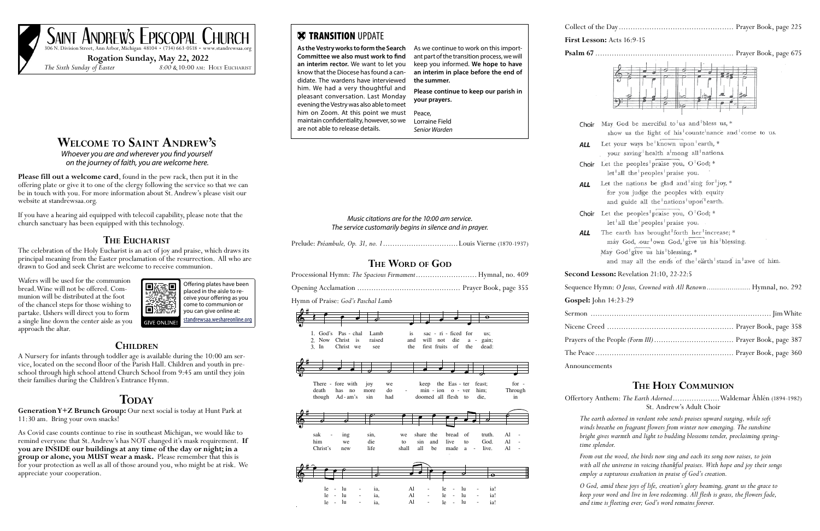## **Welcome to Saint Andrew's**

*Whoever you are and wherever you find yourself on the journey of faith, you are welcome here.* 

**Please fill out a welcome card**, found in the pew rack, then put it in the offering plate or give it to one of the clergy following the service so that we can be in touch with you. For more information about St. Andrew's please visit our website at standrewsaa.org.

If you have a hearing aid equipped with telecoil capability, please note that the church sanctuary has been equipped with this technology.

### **The Eucharist**

The celebration of the Holy Eucharist is an act of joy and praise, which draws its principal meaning from the Easter proclamation of the resurrection. All who are drawn to God and seek Christ are welcome to receive communion.

Wafers will be used for the communion bread. Wine will not be offered. Communion will be distributed at the foot of the chancel steps for those wishing to partake. Ushers will direct you to form a single line down the center aisle as you approach the altar.

#### **Children**

A Nursery for infants through toddler age is available during the 10:00 am service, located on the second floor of the Parish Hall. Children and youth in preschool through high school attend Church School from 9:45 am until they join their families during the Children's Entrance Hymn.

## $\bf{TopAY}$

**Generation Y+Z Brunch Group:** Our next social is today at Hunt Park at 11:30 am. Bring your own snacks!

1. God's Pas - chal Lamb is sac - ri - ficed for us; Prelude: *Préambule, Op. 31, no. 1* ................................Louis Vierne (1870-1937) The service customarily begins in silence and in prayer.<br>  $\frac{1}{2}$ 

Music citations are for the 10:00 am service.

As Covid case counts continue to rise in southeast Michigan, we would like to remind everyone that St. Andrew's has NOT changed it's mask requirement. **If you are INSIDE our buildings at any time of the day or night; in a group or alone, you MUST wear a mask.** Please remember that this is for your protection as well as all of those around you, who might be at risk. We appreciate your cooperation.

## **X TRANSITION UPDATE**

# SAINT ANDREW'S EPISCOPAL CHURCH

**Rogation Sunday, May 22, 2022**

*The Sixth Sunday of Easter 8:00 &* 10:00 am: Holy Eucharist



**Gospel:** John 14:23-29 Sermon ..... Nicene Creed Prayers of the The Peace ....

| Processional Hymn: The Spacious Firmament Hymnal, no. 409 |                               |                         |                 |                                          |                                                   |                               |                         |                          |  |
|-----------------------------------------------------------|-------------------------------|-------------------------|-----------------|------------------------------------------|---------------------------------------------------|-------------------------------|-------------------------|--------------------------|--|
|                                                           |                               |                         |                 |                                          |                                                   |                               |                         |                          |  |
| Hymn of Praise: God's Paschal Lamb                        |                               |                         |                 |                                          |                                                   |                               |                         |                          |  |
|                                                           |                               |                         |                 |                                          |                                                   |                               | $\mathbf \Theta$        |                          |  |
| God's<br>$1_{-}$<br>Christ<br>2. Now<br>3. In             | Pas - chal<br>is<br>Christ we | Lamb<br>raised<br>see   |                 | is<br>will<br>and<br>first fruits<br>the | sac - ri - ficed for<br>die<br>not<br>of          | $a -$<br>the                  | us:<br>gain;<br>dead:   |                          |  |
|                                                           |                               |                         |                 |                                          |                                                   |                               |                         |                          |  |
| There - fore with<br>death<br>has<br>though               | no<br>$Ad - am's$             | joy<br>more<br>sin      | we<br>do<br>had | keep<br>$min - ion$                      | the Eas - ter<br>$o - ver$<br>doomed all flesh to |                               | feast;<br>him:<br>die,  | $for -$<br>Through<br>in |  |
|                                                           |                               |                         |                 |                                          |                                                   |                               |                         |                          |  |
| sak<br>him                                                | ing<br>we                     | sin,<br>die             | we<br>to        | share the<br>sin<br>and                  | bread<br>live                                     | of<br>to                      | truth.<br>God.          | Al<br>Al                 |  |
| Christ's                                                  | new                           | life                    | shall           | all<br>be                                | made                                              | a<br>$\overline{\phantom{a}}$ | live.                   | Al                       |  |
|                                                           |                               | $\overline{\mathbf{c}}$ |                 |                                          |                                                   |                               | $\overline{\mathbf{o}}$ |                          |  |

**First Leap 16:9-15** 

**Psalm 67** ........................................................... Prayer Book, page 675

#### **Second Lesson:** Revelation 21:10, 22-22:5

Sequence Hymn: *O Jesus, Crowned with All Renown* ........................ Hymnal, no. 292

Announcements

#### **The Holy Communion**

Offertory Anthem: *The Earth Adorned* ....................Waldemar Åhlén (1894-1982) St. Andrew's Adult Choir

*The earth adorned in verdant robe sends praises upward surging, while soft winds breathe on fragrant flowers from winter now emerging. The sunshine bright gives warmth and light to budding blossoms tender, proclaiming spring-*

*time splendor.*

*From out the wood, the birds now sing and each its song now raises, to join with all the universe in voicing thankful praises. With hope and joy their songs employ a rapturous exultation in praise of God's creation.*

*O God, amid these joys of life, creation's glory beaming, grant us the grace to keep your word and live in love redeeming. All flesh is grass, the flowers fade, and time is fleeting ever; God's word remains forever.*

**As the Vestry works to form the Search Committee we also must work to find an interim rector.** We want to let you know that the Diocese has found a candidate. The wardens have interviewed him. We had a very thoughtful and pleasant conversation. Last Monday evening the Vestry was also able to meet him on Zoom. At this point we must maintain confidentiality, however, so we are not able to release details.

As we continue to work on this important part of the transition process, we will keep you informed. **We hope to have an interim in place before the end of the summer. Please continue to keep our parish in your prayers.** Peace,

Lorraine Field *Senior Warden*

| Collect of the      |  |
|---------------------|--|
| <b>First Lesson</b> |  |
| Psalm $67$          |  |
|                     |  |
|                     |  |

**ALL** 

Choir May God be merciful to us and bless us, \* show us the light of his counte nance and come to us. ALL Let your ways be known upon earth, \* your saving health a mong all nations. Choir Let the peoples praise you,  $O^{1}$ God; \* let all the peoples praise you. Let the nations be glad and sing for joy, \* for you judge the peoples with equity and guide all the nations upon earth. Choir Let the peoples praise you,  $O<sup>1</sup>$  God; \* let all the peoples praise you. **ALL** The earth has brought forth her increase; \* may God, our own God, give us his blessing. May God<sup>1</sup>give us his<sup>1</sup>blessing, \* and may all the ends of the earth stand in awe of him.

## The Word of God